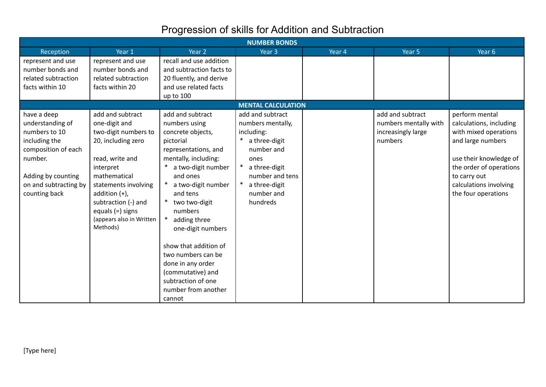## Progression of skills for Addition and Subtraction

| <b>NUMBER BONDS</b>                                                                                                                                                 |                                                                                                                                                                                                                                                                  |                                                                                                                                                                                                                                                                                                                                                                                                          |                                                                                                                                                                           |        |                                                                            |                                                                                                                                                                                                               |  |  |
|---------------------------------------------------------------------------------------------------------------------------------------------------------------------|------------------------------------------------------------------------------------------------------------------------------------------------------------------------------------------------------------------------------------------------------------------|----------------------------------------------------------------------------------------------------------------------------------------------------------------------------------------------------------------------------------------------------------------------------------------------------------------------------------------------------------------------------------------------------------|---------------------------------------------------------------------------------------------------------------------------------------------------------------------------|--------|----------------------------------------------------------------------------|---------------------------------------------------------------------------------------------------------------------------------------------------------------------------------------------------------------|--|--|
| Reception                                                                                                                                                           | Year 1                                                                                                                                                                                                                                                           | Year 2                                                                                                                                                                                                                                                                                                                                                                                                   | Year <sub>3</sub>                                                                                                                                                         | Year 4 | Year 5                                                                     | Year <sub>6</sub>                                                                                                                                                                                             |  |  |
| represent and use<br>number bonds and                                                                                                                               | represent and use<br>number bonds and                                                                                                                                                                                                                            | recall and use addition<br>and subtraction facts to                                                                                                                                                                                                                                                                                                                                                      |                                                                                                                                                                           |        |                                                                            |                                                                                                                                                                                                               |  |  |
| related subtraction                                                                                                                                                 | related subtraction                                                                                                                                                                                                                                              | 20 fluently, and derive                                                                                                                                                                                                                                                                                                                                                                                  |                                                                                                                                                                           |        |                                                                            |                                                                                                                                                                                                               |  |  |
| facts within 10                                                                                                                                                     | facts within 20                                                                                                                                                                                                                                                  | and use related facts<br>up to 100                                                                                                                                                                                                                                                                                                                                                                       |                                                                                                                                                                           |        |                                                                            |                                                                                                                                                                                                               |  |  |
|                                                                                                                                                                     | <b>MENTAL CALCULATION</b>                                                                                                                                                                                                                                        |                                                                                                                                                                                                                                                                                                                                                                                                          |                                                                                                                                                                           |        |                                                                            |                                                                                                                                                                                                               |  |  |
| have a deep<br>understanding of<br>numbers to 10<br>including the<br>composition of each<br>number.<br>Adding by counting<br>on and subtracting by<br>counting back | add and subtract<br>one-digit and<br>two-digit numbers to<br>20, including zero<br>read, write and<br>interpret<br>mathematical<br>statements involving<br>addition $(+)$ ,<br>subtraction (-) and<br>equals $(=)$ signs<br>(appears also in Written<br>Methods) | add and subtract<br>numbers using<br>concrete objects,<br>pictorial<br>representations, and<br>mentally, including:<br>a two-digit number<br>and ones<br>a two-digit number<br>and tens<br>two two-digit<br>numbers<br>adding three<br>one-digit numbers<br>show that addition of<br>two numbers can be<br>done in any order<br>(commutative) and<br>subtraction of one<br>number from another<br>cannot | add and subtract<br>numbers mentally,<br>including:<br>a three-digit<br>number and<br>ones<br>a three-digit<br>number and tens<br>a three-digit<br>number and<br>hundreds |        | add and subtract<br>numbers mentally with<br>increasingly large<br>numbers | perform mental<br>calculations, including<br>with mixed operations<br>and large numbers<br>use their knowledge of<br>the order of operations<br>to carry out<br>calculations involving<br>the four operations |  |  |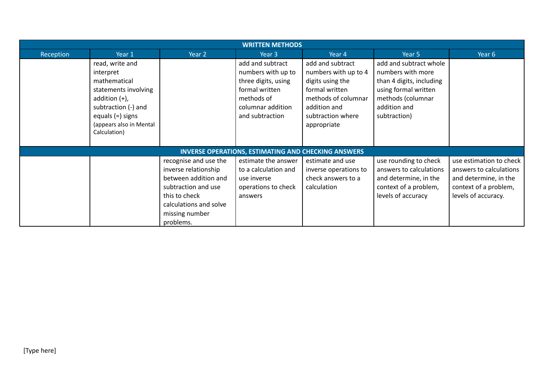|           | <b>WRITTEN METHODS</b>                                                                                                                                                           |                                                                                                                                                                        |                                                                                                                                       |                                                                                                                                                           |                                                                                                                                                      |                                                                                                                             |  |  |  |  |
|-----------|----------------------------------------------------------------------------------------------------------------------------------------------------------------------------------|------------------------------------------------------------------------------------------------------------------------------------------------------------------------|---------------------------------------------------------------------------------------------------------------------------------------|-----------------------------------------------------------------------------------------------------------------------------------------------------------|------------------------------------------------------------------------------------------------------------------------------------------------------|-----------------------------------------------------------------------------------------------------------------------------|--|--|--|--|
| Reception | Year 1                                                                                                                                                                           | Year 2                                                                                                                                                                 | Year <sub>3</sub>                                                                                                                     | Year 4                                                                                                                                                    | Year 5                                                                                                                                               | Year 6                                                                                                                      |  |  |  |  |
|           | read, write and<br>interpret<br>mathematical<br>statements involving<br>addition $(+)$ ,<br>subtraction (-) and<br>equals $(=)$ signs<br>(appears also in Mental<br>Calculation) |                                                                                                                                                                        | add and subtract<br>numbers with up to<br>three digits, using<br>formal written<br>methods of<br>columnar addition<br>and subtraction | add and subtract<br>numbers with up to 4<br>digits using the<br>formal written<br>methods of columnar<br>addition and<br>subtraction where<br>appropriate | add and subtract whole<br>numbers with more<br>than 4 digits, including<br>using formal written<br>methods (columnar<br>addition and<br>subtraction) |                                                                                                                             |  |  |  |  |
|           |                                                                                                                                                                                  |                                                                                                                                                                        | <b>INVERSE OPERATIONS, ESTIMATING AND CHECKING ANSWERS</b>                                                                            |                                                                                                                                                           |                                                                                                                                                      |                                                                                                                             |  |  |  |  |
|           |                                                                                                                                                                                  | recognise and use the<br>inverse relationship<br>between addition and<br>subtraction and use<br>this to check<br>calculations and solve<br>missing number<br>problems. | estimate the answer<br>to a calculation and<br>use inverse<br>operations to check<br>answers                                          | estimate and use<br>inverse operations to<br>check answers to a<br>calculation                                                                            | use rounding to check<br>answers to calculations<br>and determine, in the<br>context of a problem,<br>levels of accuracy                             | use estimation to check<br>answers to calculations<br>and determine, in the<br>context of a problem,<br>levels of accuracy. |  |  |  |  |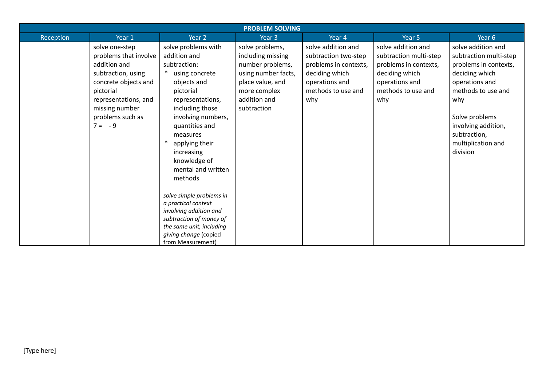| Reception<br>Year 1<br>Year 4<br>Year 6<br>Year <sub>2</sub><br>Year 5<br>Year 3<br>solve problems with<br>solve addition and<br>solve addition and<br>solve problems,<br>solve one-step<br>problems that involve<br>addition and<br>including missing<br>subtraction multi-step<br>subtraction two-step<br>addition and<br>number problems,<br>problems in contexts,<br>subtraction:<br>problems in contexts,<br>$\ast$<br>deciding which<br>subtraction, using<br>using concrete<br>using number facts,<br>deciding which<br>deciding which<br>concrete objects and<br>place value, and<br>operations and<br>operations and<br>objects and<br>operations and<br>methods to use and<br>methods to use and<br>pictorial<br>pictorial<br>more complex<br>addition and<br>representations, and<br>representations,<br>why<br>why<br>why<br>including those<br>missing number<br>subtraction<br>problems such as<br>involving numbers,<br>Solve problems<br>$7 = -9$<br>quantities and<br>subtraction,<br>measures<br>applying their<br>division<br>increasing<br>knowledge of<br>mental and written | <b>PROBLEM SOLVING</b> |  |  |  |  |  |                                                                                                                                          |  |  |
|---------------------------------------------------------------------------------------------------------------------------------------------------------------------------------------------------------------------------------------------------------------------------------------------------------------------------------------------------------------------------------------------------------------------------------------------------------------------------------------------------------------------------------------------------------------------------------------------------------------------------------------------------------------------------------------------------------------------------------------------------------------------------------------------------------------------------------------------------------------------------------------------------------------------------------------------------------------------------------------------------------------------------------------------------------------------------------------------------|------------------------|--|--|--|--|--|------------------------------------------------------------------------------------------------------------------------------------------|--|--|
|                                                                                                                                                                                                                                                                                                                                                                                                                                                                                                                                                                                                                                                                                                                                                                                                                                                                                                                                                                                                                                                                                                   |                        |  |  |  |  |  |                                                                                                                                          |  |  |
| methods<br>solve simple problems in<br>a practical context<br>involving addition and<br>subtraction of money of<br>the same unit, including                                                                                                                                                                                                                                                                                                                                                                                                                                                                                                                                                                                                                                                                                                                                                                                                                                                                                                                                                       |                        |  |  |  |  |  | solve addition and<br>subtraction multi-step<br>problems in contexts,<br>methods to use and<br>involving addition,<br>multiplication and |  |  |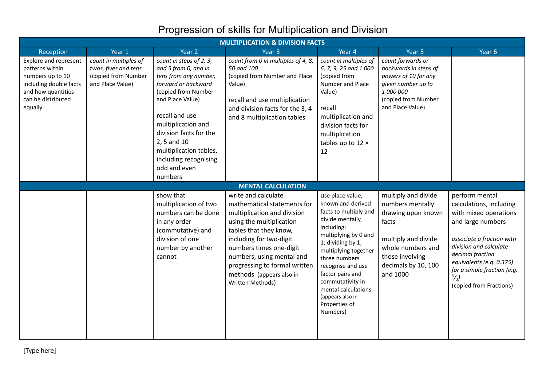# Progression of skills for Multiplication and Division

| <b>MULTIPLICATION &amp; DIVISION FACTS</b>                                                                                                    |                                                                                          |                                                                                                                                                                                                                                                                                                           |                                                                                                                                                                                                                                                                                                             |                                                                                                                                                                                                                                                                                                                             |                                                                                                                                                                          |                                                                                                                                                                                                                                                                           |  |  |  |
|-----------------------------------------------------------------------------------------------------------------------------------------------|------------------------------------------------------------------------------------------|-----------------------------------------------------------------------------------------------------------------------------------------------------------------------------------------------------------------------------------------------------------------------------------------------------------|-------------------------------------------------------------------------------------------------------------------------------------------------------------------------------------------------------------------------------------------------------------------------------------------------------------|-----------------------------------------------------------------------------------------------------------------------------------------------------------------------------------------------------------------------------------------------------------------------------------------------------------------------------|--------------------------------------------------------------------------------------------------------------------------------------------------------------------------|---------------------------------------------------------------------------------------------------------------------------------------------------------------------------------------------------------------------------------------------------------------------------|--|--|--|
| Reception                                                                                                                                     | Year 1                                                                                   | Year 2                                                                                                                                                                                                                                                                                                    | Year <sub>3</sub>                                                                                                                                                                                                                                                                                           | Year 4                                                                                                                                                                                                                                                                                                                      | Year 5                                                                                                                                                                   | Year 6                                                                                                                                                                                                                                                                    |  |  |  |
| Explore and represent<br>patterns within<br>numbers up to 10<br>including double facts<br>and how quantities<br>can be distributed<br>equally | count in multiples of<br>twos, fives and tens<br>(copied from Number<br>and Place Value) | count in steps of 2, 3,<br>and 5 from 0, and in<br>tens from any number,<br>forward or backward<br>(copied from Number<br>and Place Value)<br>recall and use<br>multiplication and<br>division facts for the<br>2, 5 and 10<br>multiplication tables,<br>including recognising<br>odd and even<br>numbers | count from 0 in multiples of 4, 8,<br>50 and 100<br>(copied from Number and Place<br>Value)<br>recall and use multiplication<br>and division facts for the 3, 4<br>and 8 multiplication tables                                                                                                              | count in multiples of<br>6, 7, 9, 25 and 1 000<br>(copied from<br>Number and Place<br>Value)<br>recall<br>multiplication and<br>division facts for<br>multiplication<br>tables up to $12 \times$<br>12                                                                                                                      | count forwards or<br>backwards in steps of<br>powers of 10 for any<br>given number up to<br>1 000 000<br>(copied from Number<br>and Place Value)                         |                                                                                                                                                                                                                                                                           |  |  |  |
|                                                                                                                                               | <b>MENTAL CALCULATION</b>                                                                |                                                                                                                                                                                                                                                                                                           |                                                                                                                                                                                                                                                                                                             |                                                                                                                                                                                                                                                                                                                             |                                                                                                                                                                          |                                                                                                                                                                                                                                                                           |  |  |  |
|                                                                                                                                               |                                                                                          | show that<br>multiplication of two<br>numbers can be done<br>in any order<br>(commutative) and<br>division of one<br>number by another<br>cannot                                                                                                                                                          | write and calculate<br>mathematical statements for<br>multiplication and division<br>using the multiplication<br>tables that they know,<br>including for two-digit<br>numbers times one-digit<br>numbers, using mental and<br>progressing to formal written<br>methods (appears also in<br>Written Methods) | use place value,<br>known and derived<br>facts to multiply and<br>divide mentally,<br>including:<br>multiplying by 0 and<br>1; dividing by 1;<br>multiplying together<br>three numbers<br>recognise and use<br>factor pairs and<br>commutativity in<br>mental calculations<br>(appears also in<br>Properties of<br>Numbers) | multiply and divide<br>numbers mentally<br>drawing upon known<br>facts<br>multiply and divide<br>whole numbers and<br>those involving<br>decimals by 10, 100<br>and 1000 | perform mental<br>calculations, including<br>with mixed operations<br>and large numbers<br>associate a fraction with<br>division and calculate<br>decimal fraction<br>equivalents (e.g. 0.375)<br>for a simple fraction (e.g.<br>$\frac{3}{8}$<br>(copied from Fractions) |  |  |  |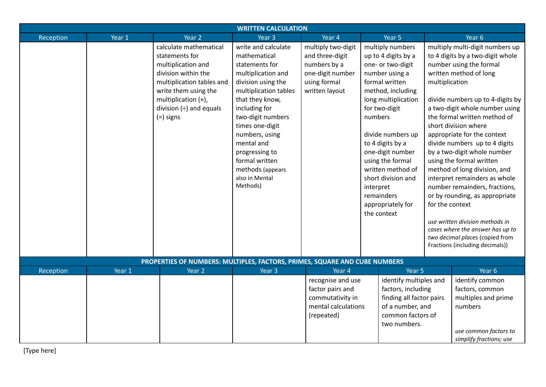|           | <b>WRITTEN CALCULATION</b> |                                                                            |                                    |                     |                          |                         |                 |                                                               |
|-----------|----------------------------|----------------------------------------------------------------------------|------------------------------------|---------------------|--------------------------|-------------------------|-----------------|---------------------------------------------------------------|
| Reception | Year 1                     | Year 2                                                                     | Year <sub>3</sub>                  | Year 4              |                          | Year 5                  |                 | Year 6                                                        |
|           |                            | calculate mathematical                                                     | write and calculate                | multiply two-digit  |                          | multiply numbers        |                 | multiply multi-digit numbers up                               |
|           |                            | statements for                                                             | mathematical                       | and three-digit     |                          | up to 4 digits by a     |                 | to 4 digits by a two-digit whole                              |
|           |                            | multiplication and                                                         | statements for                     | numbers by a        |                          | one- or two-digit       |                 | number using the formal                                       |
|           |                            | division within the                                                        | multiplication and                 | one-digit number    |                          | number using a          |                 | written method of long                                        |
|           |                            | multiplication tables and                                                  | division using the                 | using formal        |                          | formal written          | multiplication  |                                                               |
|           |                            | write them using the                                                       | multiplication tables              | written layout      |                          | method, including       |                 |                                                               |
|           |                            | multiplication (x),                                                        | that they know,                    |                     |                          | long multiplication     |                 | divide numbers up to 4-digits by                              |
|           |                            | division $(+)$ and equals                                                  | including for                      |                     |                          | for two-digit           |                 | a two-digit whole number using                                |
|           |                            | $(=)$ signs                                                                | two-digit numbers                  |                     | numbers                  |                         |                 | the formal written method of                                  |
|           |                            |                                                                            | times one-digit                    |                     |                          |                         |                 | short division where                                          |
|           |                            |                                                                            | numbers, using                     |                     |                          | divide numbers up       |                 | appropriate for the context                                   |
|           |                            |                                                                            | mental and                         |                     |                          | to 4 digits by a        |                 | divide numbers up to 4 digits                                 |
|           |                            |                                                                            | progressing to                     |                     | one-digit number         |                         |                 | by a two-digit whole number                                   |
|           |                            |                                                                            | formal written                     |                     |                          | using the formal        |                 | using the formal written                                      |
|           |                            |                                                                            | methods (appears<br>also in Mental |                     |                          | written method of       |                 | method of long division, and<br>interpret remainders as whole |
|           |                            |                                                                            | Methods)                           |                     |                          | short division and      |                 | number remainders, fractions,                                 |
|           |                            |                                                                            |                                    |                     |                          | interpret<br>remainders |                 | or by rounding, as appropriate                                |
|           |                            |                                                                            |                                    |                     |                          | appropriately for       | for the context |                                                               |
|           |                            |                                                                            |                                    |                     |                          | the context             |                 |                                                               |
|           |                            |                                                                            |                                    |                     |                          |                         |                 | use written division methods in                               |
|           |                            |                                                                            |                                    |                     |                          |                         |                 | cases where the answer has up to                              |
|           |                            |                                                                            |                                    |                     |                          |                         |                 | two decimal places (copied from                               |
|           |                            |                                                                            |                                    |                     |                          |                         |                 | Fractions (including decimals))                               |
|           |                            | PROPERTIES OF NUMBERS: MULTIPLES, FACTORS, PRIMES, SQUARE AND CUBE NUMBERS |                                    |                     |                          |                         |                 |                                                               |
| Reception | Year 1                     | Year 2                                                                     | Year 3                             | Year 4              |                          | Year 5                  |                 | Year 6                                                        |
|           |                            |                                                                            |                                    | recognise and use   |                          | identify multiples and  |                 | identify common                                               |
|           |                            |                                                                            |                                    | factor pairs and    |                          | factors, including      |                 | factors, common                                               |
|           |                            |                                                                            |                                    | commutativity in    | finding all factor pairs |                         |                 | multiples and prime                                           |
|           |                            |                                                                            |                                    | mental calculations |                          | of a number, and        |                 | numbers                                                       |
|           |                            |                                                                            |                                    | (repeated)          |                          | common factors of       |                 |                                                               |
|           |                            |                                                                            |                                    |                     |                          | two numbers.            |                 |                                                               |
|           |                            |                                                                            |                                    |                     |                          |                         |                 | use common factors to                                         |
|           |                            |                                                                            |                                    |                     |                          |                         |                 | simplify fractions; use                                       |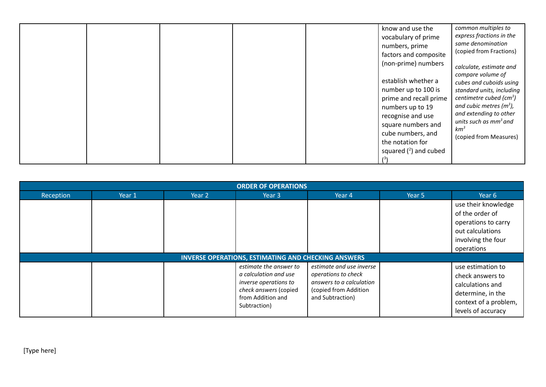|  |  | know and use the<br>vocabulary of prime<br>numbers, prime<br>factors and composite<br>(non-prime) numbers<br>establish whether a<br>number up to 100 is<br>prime and recall prime<br>numbers up to 19<br>recognise and use | common multiples to<br>express fractions in the<br>same denomination<br>(copied from Fractions)<br>calculate, estimate and<br>compare volume of<br>cubes and cuboids using<br>standard units, including<br>centimetre cubed (cm <sup>3</sup> )<br>and cubic metres ( $m3$ ),<br>and extending to other<br>units such as $mm3$ and |
|--|--|----------------------------------------------------------------------------------------------------------------------------------------------------------------------------------------------------------------------------|-----------------------------------------------------------------------------------------------------------------------------------------------------------------------------------------------------------------------------------------------------------------------------------------------------------------------------------|
|  |  | square numbers and<br>cube numbers, and                                                                                                                                                                                    | km <sup>3</sup>                                                                                                                                                                                                                                                                                                                   |
|  |  | the notation for<br>squared $(^2)$ and cubed                                                                                                                                                                               | (copied from Measures)                                                                                                                                                                                                                                                                                                            |

| <b>ORDER OF OPERATIONS</b> |                                                            |        |                                                                                                                                        |                                                                                                                          |        |                                                                                                                               |  |  |  |  |
|----------------------------|------------------------------------------------------------|--------|----------------------------------------------------------------------------------------------------------------------------------------|--------------------------------------------------------------------------------------------------------------------------|--------|-------------------------------------------------------------------------------------------------------------------------------|--|--|--|--|
| Reception                  | Year 1                                                     | Year 2 | Year 3                                                                                                                                 | Year 4                                                                                                                   | Year 5 | Year 6                                                                                                                        |  |  |  |  |
|                            |                                                            |        |                                                                                                                                        |                                                                                                                          |        | use their knowledge<br>of the order of<br>operations to carry<br>out calculations<br>involving the four<br>operations         |  |  |  |  |
|                            | <b>INVERSE OPERATIONS, ESTIMATING AND CHECKING ANSWERS</b> |        |                                                                                                                                        |                                                                                                                          |        |                                                                                                                               |  |  |  |  |
|                            |                                                            |        | estimate the answer to<br>a calculation and use<br>inverse operations to<br>check answers (copied<br>from Addition and<br>Subtraction) | estimate and use inverse<br>operations to check<br>answers to a calculation<br>(copied from Addition<br>and Subtraction) |        | use estimation to<br>check answers to<br>calculations and<br>determine, in the<br>context of a problem,<br>levels of accuracy |  |  |  |  |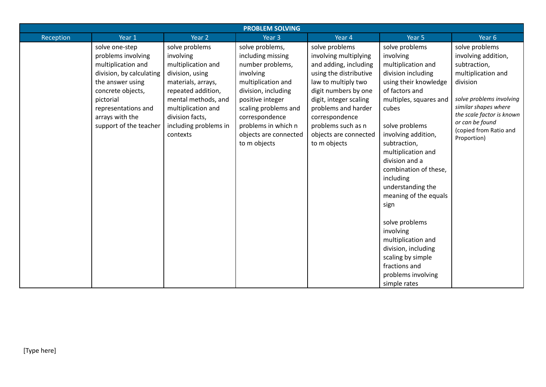| <b>PROBLEM SOLVING</b> |                          |                       |                       |                        |                        |                                                   |  |  |  |
|------------------------|--------------------------|-----------------------|-----------------------|------------------------|------------------------|---------------------------------------------------|--|--|--|
| Reception              | Year 1                   | Year 2                | Year <sub>3</sub>     | Year 4                 | Year 5                 | Year 6                                            |  |  |  |
|                        | solve one-step           | solve problems        | solve problems,       | solve problems         | solve problems         | solve problems                                    |  |  |  |
|                        | problems involving       | involving             | including missing     | involving multiplying  | involving              | involving addition,                               |  |  |  |
|                        | multiplication and       | multiplication and    | number problems,      | and adding, including  | multiplication and     | subtraction,                                      |  |  |  |
|                        | division, by calculating | division, using       | involving             | using the distributive | division including     | multiplication and                                |  |  |  |
|                        | the answer using         | materials, arrays,    | multiplication and    | law to multiply two    | using their knowledge  | division                                          |  |  |  |
|                        | concrete objects,        | repeated addition,    | division, including   | digit numbers by one   | of factors and         |                                                   |  |  |  |
|                        | pictorial                | mental methods, and   | positive integer      | digit, integer scaling | multiples, squares and | solve problems involving                          |  |  |  |
|                        | representations and      | multiplication and    | scaling problems and  | problems and harder    | cubes                  | similar shapes where<br>the scale factor is known |  |  |  |
|                        | arrays with the          | division facts,       | correspondence        | correspondence         |                        | or can be found                                   |  |  |  |
|                        | support of the teacher   | including problems in | problems in which n   | problems such as n     | solve problems         | (copied from Ratio and                            |  |  |  |
|                        |                          | contexts              | objects are connected | objects are connected  | involving addition,    | Proportion)                                       |  |  |  |
|                        |                          |                       | to m objects          | to m objects           | subtraction,           |                                                   |  |  |  |
|                        |                          |                       |                       |                        | multiplication and     |                                                   |  |  |  |
|                        |                          |                       |                       |                        | division and a         |                                                   |  |  |  |
|                        |                          |                       |                       |                        | combination of these,  |                                                   |  |  |  |
|                        |                          |                       |                       |                        | including              |                                                   |  |  |  |
|                        |                          |                       |                       |                        | understanding the      |                                                   |  |  |  |
|                        |                          |                       |                       |                        | meaning of the equals  |                                                   |  |  |  |
|                        |                          |                       |                       |                        | sign                   |                                                   |  |  |  |
|                        |                          |                       |                       |                        | solve problems         |                                                   |  |  |  |
|                        |                          |                       |                       |                        | involving              |                                                   |  |  |  |
|                        |                          |                       |                       |                        | multiplication and     |                                                   |  |  |  |
|                        |                          |                       |                       |                        | division, including    |                                                   |  |  |  |
|                        |                          |                       |                       |                        | scaling by simple      |                                                   |  |  |  |
|                        |                          |                       |                       |                        | fractions and          |                                                   |  |  |  |
|                        |                          |                       |                       |                        | problems involving     |                                                   |  |  |  |
|                        |                          |                       |                       |                        | simple rates           |                                                   |  |  |  |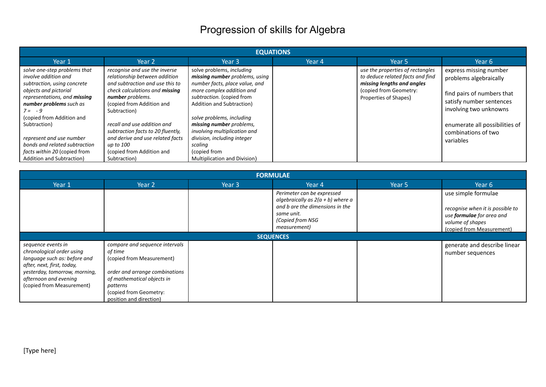## Progression of skills for Algebra

| <b>EQUATIONS</b>                                                                                                                                                                                                                                                                                                                                                  |                                                                                                                                                                                                                                                                                                                                                                               |                                                                                                                                                                                                                                                                                                                                                                         |        |                                                                                                                                                       |                                                                                                                                                                                                            |  |  |  |  |
|-------------------------------------------------------------------------------------------------------------------------------------------------------------------------------------------------------------------------------------------------------------------------------------------------------------------------------------------------------------------|-------------------------------------------------------------------------------------------------------------------------------------------------------------------------------------------------------------------------------------------------------------------------------------------------------------------------------------------------------------------------------|-------------------------------------------------------------------------------------------------------------------------------------------------------------------------------------------------------------------------------------------------------------------------------------------------------------------------------------------------------------------------|--------|-------------------------------------------------------------------------------------------------------------------------------------------------------|------------------------------------------------------------------------------------------------------------------------------------------------------------------------------------------------------------|--|--|--|--|
| Year 1                                                                                                                                                                                                                                                                                                                                                            | Year 2                                                                                                                                                                                                                                                                                                                                                                        | Year 3                                                                                                                                                                                                                                                                                                                                                                  | Year 4 | Year 5                                                                                                                                                | Year 6                                                                                                                                                                                                     |  |  |  |  |
| solve one-step problems that<br>involve addition and<br>subtraction, using concrete<br>objects and pictorial<br>representations, and <b>missing</b><br>number problems such as<br>$7 = -9$<br>(copied from Addition and<br>Subtraction)<br>represent and use number<br>bonds and related subtraction<br>facts within 20 (copied from<br>Addition and Subtraction) | recognise and use the inverse<br>relationship between addition<br>and subtraction and use this to<br>check calculations and <b>missing</b><br>number problems.<br>(copied from Addition and<br>Subtraction)<br>recall and use addition and<br>subtraction facts to 20 fluently,<br>and derive and use related facts<br>up to 100<br>(copied from Addition and<br>Subtraction) | solve problems, including<br>missing number problems, using<br>number facts, place value, and<br>more complex addition and<br>subtraction. (copied from<br>Addition and Subtraction)<br>solve problems, including<br>missing number problems,<br>involving multiplication and<br>division, including integer<br>scaling<br>(copied from<br>Multiplication and Division) |        | use the properties of rectangles<br>to deduce related facts and find<br>missing lengths and angles<br>(copied from Geometry:<br>Properties of Shapes) | express missing number<br>problems algebraically<br>find pairs of numbers that<br>satisfy number sentences<br>involving two unknowns<br>enumerate all possibilities of<br>combinations of two<br>variables |  |  |  |  |

| <b>FORMULAE</b>                                                                                                                                                                                      |                                                                                                                                                                                                         |        |                                                                                                                                                        |        |                                                                                                                                              |  |  |  |  |
|------------------------------------------------------------------------------------------------------------------------------------------------------------------------------------------------------|---------------------------------------------------------------------------------------------------------------------------------------------------------------------------------------------------------|--------|--------------------------------------------------------------------------------------------------------------------------------------------------------|--------|----------------------------------------------------------------------------------------------------------------------------------------------|--|--|--|--|
| Year 1                                                                                                                                                                                               | Year 2                                                                                                                                                                                                  | Year 3 | Year 4                                                                                                                                                 | Year 5 | Year 6                                                                                                                                       |  |  |  |  |
|                                                                                                                                                                                                      |                                                                                                                                                                                                         |        | Perimeter can be expressed<br>algebraically as $2(a + b)$ where a<br>and b are the dimensions in the<br>same unit.<br>(Copied from NSG<br>measurement) |        | use simple formulae<br>recognise when it is possible to<br>use <b>formulae</b> for area and<br>volume of shapes<br>(copied from Measurement) |  |  |  |  |
| <b>SEQUENCES</b>                                                                                                                                                                                     |                                                                                                                                                                                                         |        |                                                                                                                                                        |        |                                                                                                                                              |  |  |  |  |
| sequence events in<br>chronological order using<br>language such as: before and<br>after, next, first, today,<br>yesterday, tomorrow, morning,<br>afternoon and evening<br>(copied from Measurement) | compare and sequence intervals<br>of time<br>(copied from Measurement)<br>order and arrange combinations<br>of mathematical objects in<br>patterns<br>(copied from Geometry:<br>position and direction) |        |                                                                                                                                                        |        | generate and describe linear<br>number sequences                                                                                             |  |  |  |  |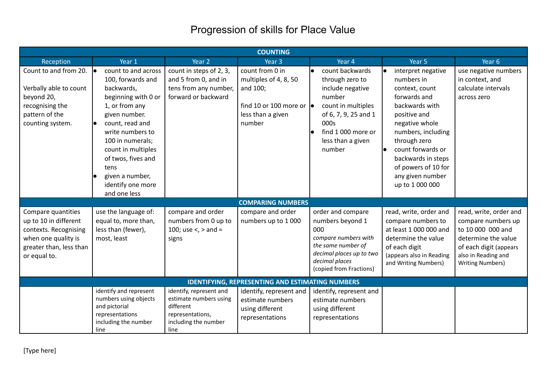## Progression of skills for Place Value

|                                                                                                                                        |                                                                                                                                                                                                                                                                                                |                                                                                                                    | <b>COUNTING</b>                                                                                                         |                                                                                                                                                                                          |                                                                                                                                                                                                                                                                       |                                                                                                                                                                      |
|----------------------------------------------------------------------------------------------------------------------------------------|------------------------------------------------------------------------------------------------------------------------------------------------------------------------------------------------------------------------------------------------------------------------------------------------|--------------------------------------------------------------------------------------------------------------------|-------------------------------------------------------------------------------------------------------------------------|------------------------------------------------------------------------------------------------------------------------------------------------------------------------------------------|-----------------------------------------------------------------------------------------------------------------------------------------------------------------------------------------------------------------------------------------------------------------------|----------------------------------------------------------------------------------------------------------------------------------------------------------------------|
| Reception                                                                                                                              | Year 1                                                                                                                                                                                                                                                                                         | Year 2                                                                                                             | Year 3                                                                                                                  | Year 4                                                                                                                                                                                   | Year 5                                                                                                                                                                                                                                                                | Year 6                                                                                                                                                               |
| Count to and from 20.<br>Verbally able to count<br>beyond 20,<br>recognising the<br>pattern of the<br>counting system.                 | count to and across<br>le.<br>100, forwards and<br>backwards,<br>beginning with 0 or<br>1, or from any<br>given number.<br>count, read and<br>write numbers to<br>100 in numerals;<br>count in multiples<br>of twos, fives and<br>tens<br>given a number,<br>identify one more<br>and one less | count in steps of 2, 3,<br>and 5 from 0, and in<br>tens from any number,<br>forward or backward                    | count from 0 in<br>multiples of 4, 8, 50<br>and 100;<br>find 10 or 100 more or $\bullet$<br>less than a given<br>number | count backwards<br>$\bullet$<br>through zero to<br>include negative<br>number<br>count in multiples<br>of 6, 7, 9, 25 and 1<br>000s<br>find 1 000 more or<br>less than a given<br>number | interpret negative<br>numbers in<br>context, count<br>forwards and<br>backwards with<br>positive and<br>negative whole<br>numbers, including<br>through zero<br>count forwards or<br>backwards in steps<br>of powers of 10 for<br>any given number<br>up to 1 000 000 | use negative numbers<br>in context, and<br>calculate intervals<br>across zero                                                                                        |
|                                                                                                                                        |                                                                                                                                                                                                                                                                                                |                                                                                                                    | <b>COMPARING NUMBERS</b>                                                                                                |                                                                                                                                                                                          |                                                                                                                                                                                                                                                                       |                                                                                                                                                                      |
| Compare quantities<br>up to 10 in different<br>contexts. Recognising<br>when one quality is<br>greater than, less than<br>or equal to. | use the language of:<br>equal to, more than,<br>less than (fewer),<br>most, least                                                                                                                                                                                                              | compare and order<br>numbers from 0 up to<br>100; use $\lt$ , $>$ and =<br>signs                                   | compare and order<br>numbers up to 1000                                                                                 | order and compare<br>numbers beyond 1<br>000<br>compare numbers with<br>the same number of<br>decimal places up to two<br>decimal places<br>(copied from Fractions)                      | read, write, order and<br>compare numbers to<br>at least 1 000 000 and<br>determine the value<br>of each digit<br>(appears also in Reading<br>and Writing Numbers)                                                                                                    | read, write, order and<br>compare numbers up<br>to 10 000 000 and<br>determine the value<br>of each digit (appears<br>also in Reading and<br><b>Writing Numbers)</b> |
|                                                                                                                                        |                                                                                                                                                                                                                                                                                                |                                                                                                                    | <b>IDENTIFYING, REPRESENTING AND ESTIMATING NUMBERS</b>                                                                 |                                                                                                                                                                                          |                                                                                                                                                                                                                                                                       |                                                                                                                                                                      |
|                                                                                                                                        | identify and represent<br>numbers using objects<br>and pictorial<br>representations<br>including the number<br>line                                                                                                                                                                            | identify, represent and<br>estimate numbers using<br>different<br>representations,<br>including the number<br>line | identify, represent and<br>estimate numbers<br>using different<br>representations                                       | identify, represent and<br>estimate numbers<br>using different<br>representations                                                                                                        |                                                                                                                                                                                                                                                                       |                                                                                                                                                                      |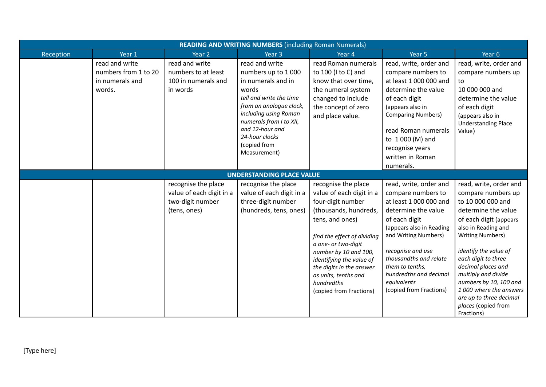| <b>READING AND WRITING NUMBERS (including Roman Numerals)</b> |                                                                     |                                                                                     |                                                                                                                                                                                                                                                    |                                                                                                                                                                                                                                                                                                                          |                                                                                                                                                                                                                                                                                                          |                                                                                                                                                                                                                                                                                                                                                                                       |  |  |
|---------------------------------------------------------------|---------------------------------------------------------------------|-------------------------------------------------------------------------------------|----------------------------------------------------------------------------------------------------------------------------------------------------------------------------------------------------------------------------------------------------|--------------------------------------------------------------------------------------------------------------------------------------------------------------------------------------------------------------------------------------------------------------------------------------------------------------------------|----------------------------------------------------------------------------------------------------------------------------------------------------------------------------------------------------------------------------------------------------------------------------------------------------------|---------------------------------------------------------------------------------------------------------------------------------------------------------------------------------------------------------------------------------------------------------------------------------------------------------------------------------------------------------------------------------------|--|--|
| Reception                                                     | Year 1                                                              | Year 2                                                                              | Year <sub>3</sub>                                                                                                                                                                                                                                  | Year 4                                                                                                                                                                                                                                                                                                                   | Year 5                                                                                                                                                                                                                                                                                                   | Year 6                                                                                                                                                                                                                                                                                                                                                                                |  |  |
|                                                               | read and write<br>numbers from 1 to 20<br>in numerals and<br>words. | read and write<br>numbers to at least<br>100 in numerals and<br>in words            | read and write<br>numbers up to 1000<br>in numerals and in<br>words<br>tell and write the time<br>from an analogue clock,<br>including using Roman<br>numerals from I to XII,<br>and 12-hour and<br>24-hour clocks<br>(copied from<br>Measurement) | read Roman numerals<br>to 100 (I to C) and<br>know that over time,<br>the numeral system<br>changed to include<br>the concept of zero<br>and place value.                                                                                                                                                                | read, write, order and<br>compare numbers to<br>at least 1 000 000 and<br>determine the value<br>of each digit<br>(appears also in<br><b>Comparing Numbers)</b><br>read Roman numerals<br>to 1 000 (M) and<br>recognise years<br>written in Roman<br>numerals.                                           | read, write, order and<br>compare numbers up<br>to<br>10 000 000 and<br>determine the value<br>of each digit<br>(appears also in<br><b>Understanding Place</b><br>Value)                                                                                                                                                                                                              |  |  |
| <b>UNDERSTANDING PLACE VALUE</b>                              |                                                                     |                                                                                     |                                                                                                                                                                                                                                                    |                                                                                                                                                                                                                                                                                                                          |                                                                                                                                                                                                                                                                                                          |                                                                                                                                                                                                                                                                                                                                                                                       |  |  |
|                                                               |                                                                     | recognise the place<br>value of each digit in a<br>two-digit number<br>(tens, ones) | recognise the place<br>value of each digit in a<br>three-digit number<br>(hundreds, tens, ones)                                                                                                                                                    | recognise the place<br>value of each digit in a<br>four-digit number<br>(thousands, hundreds,<br>tens, and ones)<br>find the effect of dividing<br>a one- or two-digit<br>number by 10 and 100,<br>identifying the value of<br>the digits in the answer<br>as units, tenths and<br>hundredths<br>(copied from Fractions) | read, write, order and<br>compare numbers to<br>at least 1 000 000 and<br>determine the value<br>of each digit<br>(appears also in Reading<br>and Writing Numbers)<br>recognise and use<br>thousandths and relate<br>them to tenths,<br>hundredths and decimal<br>equivalents<br>(copied from Fractions) | read, write, order and<br>compare numbers up<br>to 10 000 000 and<br>determine the value<br>of each digit (appears<br>also in Reading and<br><b>Writing Numbers)</b><br>identify the value of<br>each digit to three<br>decimal places and<br>multiply and divide<br>numbers by 10, 100 and<br>1000 where the answers<br>are up to three decimal<br>places (copied from<br>Fractions) |  |  |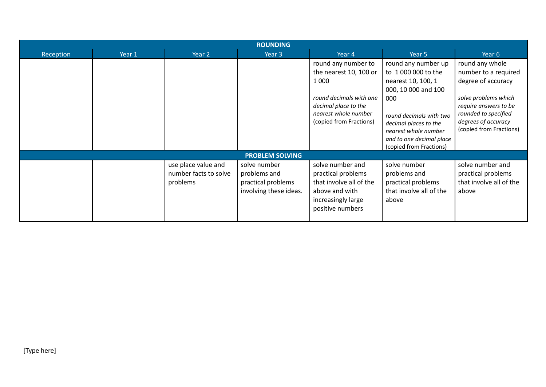|           | <b>ROUNDING</b> |                                                          |                                                                              |                                                                                                                                                                |                                                                                                                                                                                                                                   |                                                                                                                                                                                          |  |  |  |
|-----------|-----------------|----------------------------------------------------------|------------------------------------------------------------------------------|----------------------------------------------------------------------------------------------------------------------------------------------------------------|-----------------------------------------------------------------------------------------------------------------------------------------------------------------------------------------------------------------------------------|------------------------------------------------------------------------------------------------------------------------------------------------------------------------------------------|--|--|--|
| Reception | Year 1          | Year 2                                                   | Year 3                                                                       | Year 4                                                                                                                                                         | Year 5                                                                                                                                                                                                                            | Year 6                                                                                                                                                                                   |  |  |  |
|           |                 |                                                          |                                                                              | round any number to<br>the nearest 10, 100 or<br>1 0 0 0<br>round decimals with one<br>decimal place to the<br>nearest whole number<br>(copied from Fractions) | round any number up<br>to 1 000 000 to the<br>nearest 10, 100, 1<br>000, 10 000 and 100<br>000<br>round decimals with two<br>decimal places to the<br>nearest whole number<br>and to one decimal place<br>(copied from Fractions) | round any whole<br>number to a required<br>degree of accuracy<br>solve problems which<br>require answers to be<br>rounded to specified<br>degrees of accuracy<br>(copied from Fractions) |  |  |  |
|           |                 |                                                          | <b>PROBLEM SOLVING</b>                                                       |                                                                                                                                                                |                                                                                                                                                                                                                                   |                                                                                                                                                                                          |  |  |  |
|           |                 | use place value and<br>number facts to solve<br>problems | solve number<br>problems and<br>practical problems<br>involving these ideas. | solve number and<br>practical problems<br>that involve all of the<br>above and with<br>increasingly large<br>positive numbers                                  | solve number<br>problems and<br>practical problems<br>that involve all of the<br>above                                                                                                                                            | solve number and<br>practical problems<br>that involve all of the<br>above                                                                                                               |  |  |  |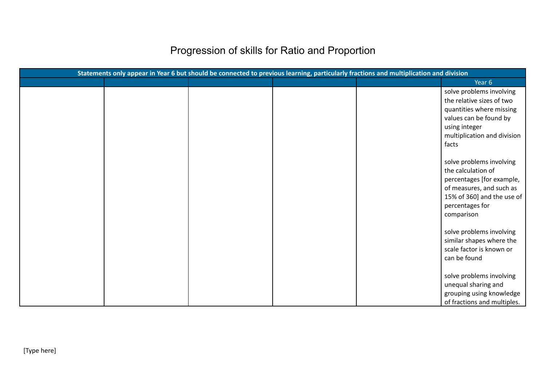# Progression of skills for Ratio and Proportion

|  |  | Statements only appear in Year 6 but should be connected to previous learning, particularly fractions and multiplication and division |                                                                                                                                                                        |
|--|--|---------------------------------------------------------------------------------------------------------------------------------------|------------------------------------------------------------------------------------------------------------------------------------------------------------------------|
|  |  |                                                                                                                                       | Year <sub>6</sub>                                                                                                                                                      |
|  |  |                                                                                                                                       | solve problems involving<br>the relative sizes of two<br>quantities where missing<br>values can be found by<br>using integer<br>multiplication and division<br>facts   |
|  |  |                                                                                                                                       | solve problems involving<br>the calculation of<br>percentages [for example,<br>of measures, and such as<br>15% of 360] and the use of<br>percentages for<br>comparison |
|  |  |                                                                                                                                       | solve problems involving<br>similar shapes where the<br>scale factor is known or<br>can be found                                                                       |
|  |  |                                                                                                                                       | solve problems involving<br>unequal sharing and<br>grouping using knowledge<br>of fractions and multiples.                                                             |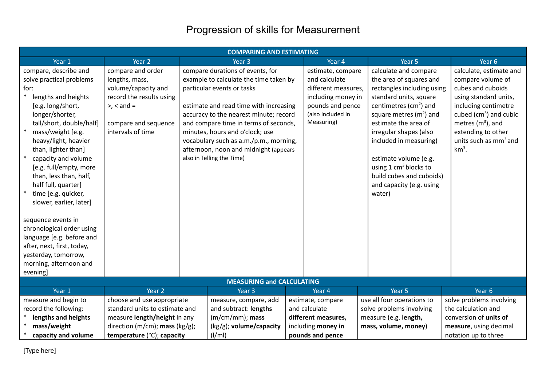## Progression of skills for Measurement

| <b>COMPARING AND ESTIMATING</b>                                                                                                                                                                                                                                                                                                                                                                                                                                                                                                                                                        |                                                                                                                                                          |  |                                                                                                                                                                                                                                                                                                                                                                                          |  |                                                                                                                                        |                                                                                                                                                                                                                                                                                                                                                                              |                                                                                                                                                                                                                                               |
|----------------------------------------------------------------------------------------------------------------------------------------------------------------------------------------------------------------------------------------------------------------------------------------------------------------------------------------------------------------------------------------------------------------------------------------------------------------------------------------------------------------------------------------------------------------------------------------|----------------------------------------------------------------------------------------------------------------------------------------------------------|--|------------------------------------------------------------------------------------------------------------------------------------------------------------------------------------------------------------------------------------------------------------------------------------------------------------------------------------------------------------------------------------------|--|----------------------------------------------------------------------------------------------------------------------------------------|------------------------------------------------------------------------------------------------------------------------------------------------------------------------------------------------------------------------------------------------------------------------------------------------------------------------------------------------------------------------------|-----------------------------------------------------------------------------------------------------------------------------------------------------------------------------------------------------------------------------------------------|
| Year 1                                                                                                                                                                                                                                                                                                                                                                                                                                                                                                                                                                                 | Year 2                                                                                                                                                   |  | Year <sub>3</sub>                                                                                                                                                                                                                                                                                                                                                                        |  | Year 4                                                                                                                                 | Year 5                                                                                                                                                                                                                                                                                                                                                                       | Year 6                                                                                                                                                                                                                                        |
| compare, describe and<br>solve practical problems<br>for:<br>lengths and heights<br>[e.g. long/short,<br>longer/shorter,<br>tall/short, double/half]<br>$\ast$<br>mass/weight [e.g.<br>heavy/light, heavier<br>than, lighter than]<br>$\ast$<br>capacity and volume<br>[e.g. full/empty, more<br>than, less than, half,<br>half full, quarter]<br>$\ast$<br>time [e.g. quicker,<br>slower, earlier, later]<br>sequence events in<br>chronological order using<br>language [e.g. before and<br>after, next, first, today,<br>yesterday, tomorrow,<br>morning, afternoon and<br>evening] | compare and order<br>lengths, mass,<br>volume/capacity and<br>record the results using<br>$>$ , $<$ and $=$<br>compare and sequence<br>intervals of time |  | compare durations of events, for<br>example to calculate the time taken by<br>particular events or tasks<br>estimate and read time with increasing<br>accuracy to the nearest minute; record<br>and compare time in terms of seconds,<br>minutes, hours and o'clock; use<br>vocabulary such as a.m./p.m., morning,<br>afternoon, noon and midnight (appears<br>also in Telling the Time) |  | estimate, compare<br>and calculate<br>different measures,<br>including money in<br>pounds and pence<br>(also included in<br>Measuring) | calculate and compare<br>the area of squares and<br>rectangles including using<br>standard units, square<br>centimetres ( $cm2$ ) and<br>square metres $(m2)$ and<br>estimate the area of<br>irregular shapes (also<br>included in measuring)<br>estimate volume (e.g.<br>using $1 \text{ cm}^3$ blocks to<br>build cubes and cuboids)<br>and capacity (e.g. using<br>water) | calculate, estimate and<br>compare volume of<br>cubes and cuboids<br>using standard units,<br>including centimetre<br>cubed ( $cm3$ ) and cubic<br>metres $(m^3)$ , and<br>extending to other<br>units such as mm <sup>3</sup> and<br>$km3$ . |
|                                                                                                                                                                                                                                                                                                                                                                                                                                                                                                                                                                                        |                                                                                                                                                          |  | <b>MEASURING and CALCULATING</b>                                                                                                                                                                                                                                                                                                                                                         |  |                                                                                                                                        |                                                                                                                                                                                                                                                                                                                                                                              |                                                                                                                                                                                                                                               |
| Year 1                                                                                                                                                                                                                                                                                                                                                                                                                                                                                                                                                                                 | Year <sub>2</sub>                                                                                                                                        |  | Year <sub>3</sub>                                                                                                                                                                                                                                                                                                                                                                        |  | Year 4                                                                                                                                 | Year 5                                                                                                                                                                                                                                                                                                                                                                       | Year 6                                                                                                                                                                                                                                        |
| measure and begin to                                                                                                                                                                                                                                                                                                                                                                                                                                                                                                                                                                   | choose and use appropriate                                                                                                                               |  | measure, compare, add                                                                                                                                                                                                                                                                                                                                                                    |  | estimate, compare                                                                                                                      | use all four operations to                                                                                                                                                                                                                                                                                                                                                   | solve problems involving                                                                                                                                                                                                                      |
| record the following:                                                                                                                                                                                                                                                                                                                                                                                                                                                                                                                                                                  | standard units to estimate and                                                                                                                           |  | and subtract: lengths                                                                                                                                                                                                                                                                                                                                                                    |  | and calculate                                                                                                                          | solve problems involving                                                                                                                                                                                                                                                                                                                                                     | the calculation and                                                                                                                                                                                                                           |
| ∗<br>lengths and heights                                                                                                                                                                                                                                                                                                                                                                                                                                                                                                                                                               | measure length/height in any                                                                                                                             |  | (m/cm/mm); mass                                                                                                                                                                                                                                                                                                                                                                          |  | different measures,                                                                                                                    | measure (e.g. length,                                                                                                                                                                                                                                                                                                                                                        | conversion of units of                                                                                                                                                                                                                        |
| $\ast$<br>mass/weight                                                                                                                                                                                                                                                                                                                                                                                                                                                                                                                                                                  | direction (m/cm); mass (kg/g);                                                                                                                           |  | $(kg/g)$ ; volume/capacity                                                                                                                                                                                                                                                                                                                                                               |  | including money in                                                                                                                     | mass, volume, money)                                                                                                                                                                                                                                                                                                                                                         | measure, using decimal                                                                                                                                                                                                                        |
| capacity and volume                                                                                                                                                                                                                                                                                                                                                                                                                                                                                                                                                                    | temperature (°C); capacity                                                                                                                               |  | (I/ml)                                                                                                                                                                                                                                                                                                                                                                                   |  | pounds and pence                                                                                                                       |                                                                                                                                                                                                                                                                                                                                                                              | notation up to three                                                                                                                                                                                                                          |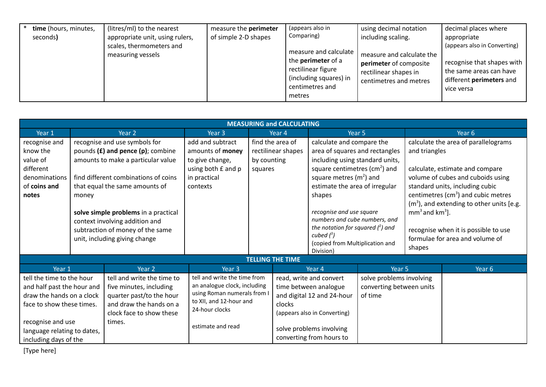| time (hours, minutes,<br>seconds) | (litres/ml) to the nearest<br>appropriate unit, using rulers,<br>scales, thermometers and<br>measuring vessels | measure the perimeter<br>of simple 2-D shapes | (appears also in<br>Comparing)<br>measure and calculate<br>the <b>perimeter</b> of a<br>rectilinear figure<br>(including squares) in<br>centimetres and<br>metres | using decimal notation<br>including scaling.<br>measure and calculate the<br>perimeter of composite<br>rectilinear shapes in<br>centimetres and metres | decimal places where<br>appropriate<br>(appears also in Converting)<br>recognise that shapes with<br>the same areas can have<br>different perimeters and<br>vice versa |
|-----------------------------------|----------------------------------------------------------------------------------------------------------------|-----------------------------------------------|-------------------------------------------------------------------------------------------------------------------------------------------------------------------|--------------------------------------------------------------------------------------------------------------------------------------------------------|------------------------------------------------------------------------------------------------------------------------------------------------------------------------|
|-----------------------------------|----------------------------------------------------------------------------------------------------------------|-----------------------------------------------|-------------------------------------------------------------------------------------------------------------------------------------------------------------------|--------------------------------------------------------------------------------------------------------------------------------------------------------|------------------------------------------------------------------------------------------------------------------------------------------------------------------------|

|                                                                                                                                                                                                | <b>MEASURING and CALCULATING</b> |                                                                                                                                                                                                                                                                                                                                        |                                                                                                                                                               |                                                                  |                                                                                                                                                                                                                                                                                                                                                                           |           |                                                         |                                                                                                                                                                                                                                                                                                                     |                   |
|------------------------------------------------------------------------------------------------------------------------------------------------------------------------------------------------|----------------------------------|----------------------------------------------------------------------------------------------------------------------------------------------------------------------------------------------------------------------------------------------------------------------------------------------------------------------------------------|---------------------------------------------------------------------------------------------------------------------------------------------------------------|------------------------------------------------------------------|---------------------------------------------------------------------------------------------------------------------------------------------------------------------------------------------------------------------------------------------------------------------------------------------------------------------------------------------------------------------------|-----------|---------------------------------------------------------|---------------------------------------------------------------------------------------------------------------------------------------------------------------------------------------------------------------------------------------------------------------------------------------------------------------------|-------------------|
| Year 1                                                                                                                                                                                         |                                  | Year 2                                                                                                                                                                                                                                                                                                                                 | Year <sub>3</sub>                                                                                                                                             | Year 4                                                           |                                                                                                                                                                                                                                                                                                                                                                           |           | Year 5                                                  |                                                                                                                                                                                                                                                                                                                     | Year 6            |
| recognise and<br>know the<br>value of<br>different<br>denominations<br>of coins and<br>notes                                                                                                   | money                            | recognise and use symbols for<br>pounds $(E)$ and pence $(p)$ ; combine<br>amounts to make a particular value<br>find different combinations of coins<br>that equal the same amounts of<br>solve simple problems in a practical<br>context involving addition and<br>subtraction of money of the same<br>unit, including giving change | add and subtract<br>amounts of money<br>to give change,<br>using both £ and p<br>in practical<br>contexts                                                     | find the area of<br>rectilinear shapes<br>by counting<br>squares | calculate and compare the<br>area of squares and rectangles<br>including using standard units,<br>square centimetres ( $\text{cm}^2$ ) and<br>square metres $(m2)$ and<br>estimate the area of irregular<br>shapes<br>recognise and use square<br>numbers and cube numbers, and<br>the notation for squared $(^2)$ and<br>cubed $(^3)$<br>(copied from Multiplication and |           | and triangles<br>$mm3$ and km <sup>3</sup> ].<br>shapes | calculate the area of parallelograms<br>calculate, estimate and compare<br>volume of cubes and cuboids using<br>standard units, including cubic<br>centimetres ( $cm3$ ) and cubic metres<br>$(m3)$ , and extending to other units [e.g.<br>recognise when it is possible to use<br>formulae for area and volume of |                   |
|                                                                                                                                                                                                |                                  |                                                                                                                                                                                                                                                                                                                                        |                                                                                                                                                               | <b>TELLING THE TIME</b>                                          |                                                                                                                                                                                                                                                                                                                                                                           | Division) |                                                         |                                                                                                                                                                                                                                                                                                                     |                   |
| Year 1                                                                                                                                                                                         |                                  | Year 2                                                                                                                                                                                                                                                                                                                                 | Year <sub>3</sub>                                                                                                                                             |                                                                  |                                                                                                                                                                                                                                                                                                                                                                           | Year 4    | Year 5                                                  |                                                                                                                                                                                                                                                                                                                     | Year <sub>6</sub> |
| tell the time to the hour<br>and half past the hour and<br>draw the hands on a clock<br>face to show these times.<br>recognise and use<br>language relating to dates,<br>including days of the |                                  | tell and write the time to<br>five minutes, including<br>quarter past/to the hour<br>and draw the hands on a<br>clock face to show these<br>times.                                                                                                                                                                                     | tell and write the time from<br>an analogue clock, including<br>using Roman numerals from I<br>to XII, and 12-hour and<br>24-hour clocks<br>estimate and read | clocks                                                           | read, write and convert<br>solve problems involving<br>time between analogue<br>converting between units<br>and digital 12 and 24-hour<br>of time<br>(appears also in Converting)<br>solve problems involving<br>converting from hours to                                                                                                                                 |           |                                                         |                                                                                                                                                                                                                                                                                                                     |                   |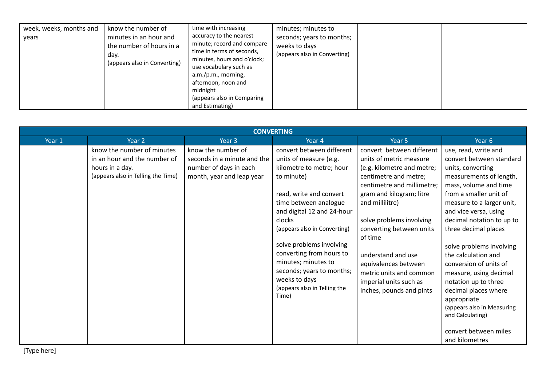| know the number of<br>week, weeks, months and<br>minutes in an hour and<br>vears<br>the number of hours in a<br>dav.<br>(appears also in Converting) | time with increasing<br>minutes; minutes to<br>accuracy to the nearest<br>seconds; years to months;<br>minute; record and compare<br>weeks to days<br>time in terms of seconds,<br>(appears also in Converting)<br>minutes, hours and o'clock;<br>use vocabulary such as<br>a.m./p.m., morning,<br>afternoon, noon and<br>midnight<br>(appears also in Comparing<br>and Estimating) |  |
|------------------------------------------------------------------------------------------------------------------------------------------------------|-------------------------------------------------------------------------------------------------------------------------------------------------------------------------------------------------------------------------------------------------------------------------------------------------------------------------------------------------------------------------------------|--|
|------------------------------------------------------------------------------------------------------------------------------------------------------|-------------------------------------------------------------------------------------------------------------------------------------------------------------------------------------------------------------------------------------------------------------------------------------------------------------------------------------------------------------------------------------|--|

|        |                                                                                                                     |                                                                                                          | <b>CONVERTING</b>                                                                                                                                                                                                                                                                                                                                                                               |                                                                                                                                                                                                                                                                                                                                                                                            |                                                                                                                                                                                                                                                                                                                                                                                                                                                                                                                                   |
|--------|---------------------------------------------------------------------------------------------------------------------|----------------------------------------------------------------------------------------------------------|-------------------------------------------------------------------------------------------------------------------------------------------------------------------------------------------------------------------------------------------------------------------------------------------------------------------------------------------------------------------------------------------------|--------------------------------------------------------------------------------------------------------------------------------------------------------------------------------------------------------------------------------------------------------------------------------------------------------------------------------------------------------------------------------------------|-----------------------------------------------------------------------------------------------------------------------------------------------------------------------------------------------------------------------------------------------------------------------------------------------------------------------------------------------------------------------------------------------------------------------------------------------------------------------------------------------------------------------------------|
| Year 1 | Year 2                                                                                                              | Year 3                                                                                                   | Year 4                                                                                                                                                                                                                                                                                                                                                                                          | Year 5                                                                                                                                                                                                                                                                                                                                                                                     | Year 6                                                                                                                                                                                                                                                                                                                                                                                                                                                                                                                            |
|        | know the number of minutes<br>in an hour and the number of<br>hours in a day.<br>(appears also in Telling the Time) | know the number of<br>seconds in a minute and the<br>number of days in each<br>month, year and leap year | convert between different<br>units of measure (e.g.<br>kilometre to metre; hour<br>to minute)<br>read, write and convert<br>time between analogue<br>and digital 12 and 24-hour<br>clocks<br>(appears also in Converting)<br>solve problems involving<br>converting from hours to<br>minutes; minutes to<br>seconds; years to months;<br>weeks to days<br>(appears also in Telling the<br>Time) | convert between different<br>units of metric measure<br>(e.g. kilometre and metre;<br>centimetre and metre;<br>centimetre and millimetre;<br>gram and kilogram; litre<br>and millilitre)<br>solve problems involving<br>converting between units<br>of time<br>understand and use<br>equivalences between<br>metric units and common<br>imperial units such as<br>inches, pounds and pints | use, read, write and<br>convert between standard<br>units, converting<br>measurements of length,<br>mass, volume and time<br>from a smaller unit of<br>measure to a larger unit,<br>and vice versa, using<br>decimal notation to up to<br>three decimal places<br>solve problems involving<br>the calculation and<br>conversion of units of<br>measure, using decimal<br>notation up to three<br>decimal places where<br>appropriate<br>(appears also in Measuring<br>and Calculating)<br>convert between miles<br>and kilometres |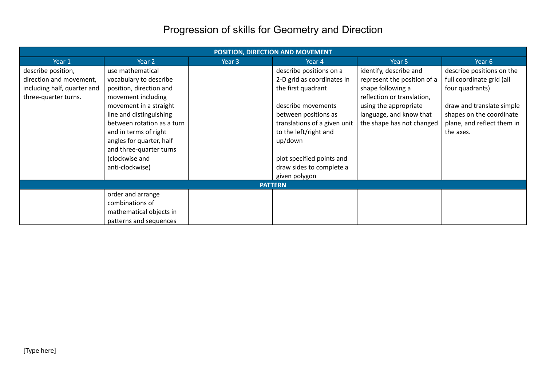# Progression of skills for Geometry and Direction

|                             | POSITION, DIRECTION AND MOVEMENT |        |                              |                             |                            |  |  |  |
|-----------------------------|----------------------------------|--------|------------------------------|-----------------------------|----------------------------|--|--|--|
| Year 1                      | Year 2                           | Year 3 | Year 4                       | Year 5                      | Year 6                     |  |  |  |
| describe position,          | use mathematical                 |        | describe positions on a      | identify, describe and      | describe positions on the  |  |  |  |
| direction and movement,     | vocabulary to describe           |        | 2-D grid as coordinates in   | represent the position of a | full coordinate grid (all  |  |  |  |
| including half, quarter and | position, direction and          |        | the first quadrant           | shape following a           | four quadrants)            |  |  |  |
| three-quarter turns.        | movement including               |        |                              | reflection or translation,  |                            |  |  |  |
|                             | movement in a straight           |        | describe movements           | using the appropriate       | draw and translate simple  |  |  |  |
|                             | line and distinguishing          |        | between positions as         | language, and know that     | shapes on the coordinate   |  |  |  |
|                             | between rotation as a turn       |        | translations of a given unit | the shape has not changed   | plane, and reflect them in |  |  |  |
|                             | and in terms of right            |        | to the left/right and        |                             | the axes.                  |  |  |  |
|                             | angles for quarter, half         |        | up/down                      |                             |                            |  |  |  |
|                             | and three-quarter turns          |        |                              |                             |                            |  |  |  |
|                             | (clockwise and                   |        | plot specified points and    |                             |                            |  |  |  |
|                             | anti-clockwise)                  |        | draw sides to complete a     |                             |                            |  |  |  |
|                             |                                  |        | given polygon                |                             |                            |  |  |  |
|                             |                                  |        | <b>PATTERN</b>               |                             |                            |  |  |  |
|                             | order and arrange                |        |                              |                             |                            |  |  |  |
|                             | combinations of                  |        |                              |                             |                            |  |  |  |
|                             | mathematical objects in          |        |                              |                             |                            |  |  |  |
|                             | patterns and sequences           |        |                              |                             |                            |  |  |  |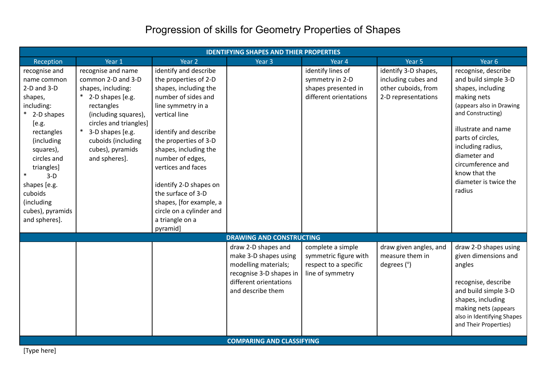# Progression of skills for Geometry Properties of Shapes

|                                                                                                                                                                                                                                                              |                                                                                                                                                                                                                                     |                                                                                                                                                                                                                                                                                                                                                                                                  | <b>IDENTIFYING SHAPES AND THIER PROPERTIES</b>                                                                                                                                     |                                                                                         |                                                                                           |                                                                                                                                                                                                                                                                                            |
|--------------------------------------------------------------------------------------------------------------------------------------------------------------------------------------------------------------------------------------------------------------|-------------------------------------------------------------------------------------------------------------------------------------------------------------------------------------------------------------------------------------|--------------------------------------------------------------------------------------------------------------------------------------------------------------------------------------------------------------------------------------------------------------------------------------------------------------------------------------------------------------------------------------------------|------------------------------------------------------------------------------------------------------------------------------------------------------------------------------------|-----------------------------------------------------------------------------------------|-------------------------------------------------------------------------------------------|--------------------------------------------------------------------------------------------------------------------------------------------------------------------------------------------------------------------------------------------------------------------------------------------|
| Reception                                                                                                                                                                                                                                                    | Year 1                                                                                                                                                                                                                              | Year <sub>2</sub>                                                                                                                                                                                                                                                                                                                                                                                | Year 3                                                                                                                                                                             | Year 4                                                                                  | Year 5                                                                                    | Year 6                                                                                                                                                                                                                                                                                     |
| recognise and<br>name common<br>$2-D$ and $3-D$<br>shapes,<br>including:<br>2-D shapes<br>[e.g.<br>rectangles<br>(including<br>squares),<br>circles and<br>triangles]<br>$3-D$<br>shapes [e.g.<br>cuboids<br>(including<br>cubes), pyramids<br>and spheres]. | recognise and name<br>common 2-D and 3-D<br>shapes, including:<br>* 2-D shapes [e.g.<br>rectangles<br>(including squares),<br>circles and triangles]<br>3-D shapes [e.g.<br>cuboids (including<br>cubes), pyramids<br>and spheres]. | identify and describe<br>the properties of 2-D<br>shapes, including the<br>number of sides and<br>line symmetry in a<br>vertical line<br>identify and describe<br>the properties of 3-D<br>shapes, including the<br>number of edges,<br>vertices and faces<br>identify 2-D shapes on<br>the surface of 3-D<br>shapes, [for example, a<br>circle on a cylinder and<br>a triangle on a<br>pyramid] |                                                                                                                                                                                    | identify lines of<br>symmetry in 2-D<br>shapes presented in<br>different orientations   | identify 3-D shapes,<br>including cubes and<br>other cuboids, from<br>2-D representations | recognise, describe<br>and build simple 3-D<br>shapes, including<br>making nets<br>(appears also in Drawing<br>and Constructing)<br>illustrate and name<br>parts of circles,<br>including radius,<br>diameter and<br>circumference and<br>know that the<br>diameter is twice the<br>radius |
|                                                                                                                                                                                                                                                              |                                                                                                                                                                                                                                     |                                                                                                                                                                                                                                                                                                                                                                                                  | <b>DRAWING AND CONSTRUCTING</b>                                                                                                                                                    |                                                                                         |                                                                                           |                                                                                                                                                                                                                                                                                            |
|                                                                                                                                                                                                                                                              |                                                                                                                                                                                                                                     |                                                                                                                                                                                                                                                                                                                                                                                                  | draw 2-D shapes and<br>make 3-D shapes using<br>modelling materials;<br>recognise 3-D shapes in<br>different orientations<br>and describe them<br><b>COMPARING AND CLASSIFYING</b> | complete a simple<br>symmetric figure with<br>respect to a specific<br>line of symmetry | draw given angles, and<br>measure them in<br>degrees $(°)$                                | draw 2-D shapes using<br>given dimensions and<br>angles<br>recognise, describe<br>and build simple 3-D<br>shapes, including<br>making nets (appears<br>also in Identifying Shapes<br>and Their Properties)                                                                                 |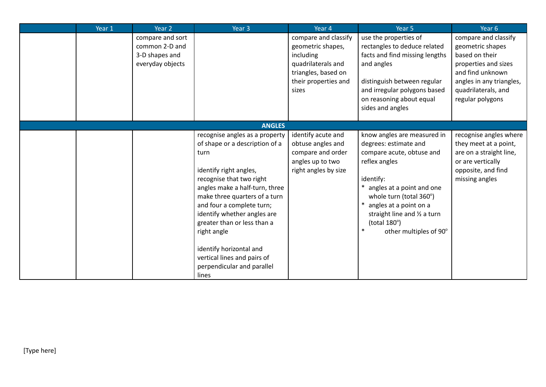| Year 1 | Year 2                                                                   | Year 3                                                                                                                                                                                                                                                                                                                                                                                                       | Year 4                                                                                                                               | Year 5                                                                                                                                                                                                                                                                                | Year <sub>6</sub>                                                                                                                                                             |
|--------|--------------------------------------------------------------------------|--------------------------------------------------------------------------------------------------------------------------------------------------------------------------------------------------------------------------------------------------------------------------------------------------------------------------------------------------------------------------------------------------------------|--------------------------------------------------------------------------------------------------------------------------------------|---------------------------------------------------------------------------------------------------------------------------------------------------------------------------------------------------------------------------------------------------------------------------------------|-------------------------------------------------------------------------------------------------------------------------------------------------------------------------------|
|        | compare and sort<br>common 2-D and<br>3-D shapes and<br>everyday objects |                                                                                                                                                                                                                                                                                                                                                                                                              | compare and classify<br>geometric shapes,<br>including<br>quadrilaterals and<br>triangles, based on<br>their properties and<br>sizes | use the properties of<br>rectangles to deduce related<br>facts and find missing lengths<br>and angles<br>distinguish between regular<br>and irregular polygons based<br>on reasoning about equal<br>sides and angles                                                                  | compare and classify<br>geometric shapes<br>based on their<br>properties and sizes<br>and find unknown<br>angles in any triangles,<br>quadrilaterals, and<br>regular polygons |
|        |                                                                          | <b>ANGLES</b>                                                                                                                                                                                                                                                                                                                                                                                                |                                                                                                                                      |                                                                                                                                                                                                                                                                                       |                                                                                                                                                                               |
|        |                                                                          | recognise angles as a property<br>of shape or a description of a<br>turn<br>identify right angles,<br>recognise that two right<br>angles make a half-turn, three<br>make three quarters of a turn<br>and four a complete turn;<br>identify whether angles are<br>greater than or less than a<br>right angle<br>identify horizontal and<br>vertical lines and pairs of<br>perpendicular and parallel<br>lines | identify acute and<br>obtuse angles and<br>compare and order<br>angles up to two<br>right angles by size                             | know angles are measured in<br>degrees: estimate and<br>compare acute, obtuse and<br>reflex angles<br>identify:<br>angles at a point and one<br>whole turn (total 360°)<br>angles at a point on a<br>straight line and 1/2 a turn<br>(total 180°)<br>$\ast$<br>other multiples of 90° | recognise angles where<br>they meet at a point,<br>are on a straight line,<br>or are vertically<br>opposite, and find<br>missing angles                                       |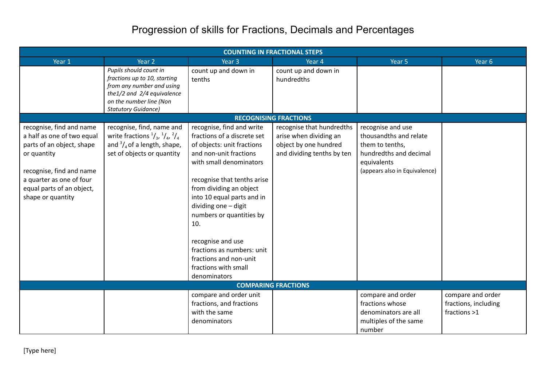#### Progression of skills for Fractions, Decimals and Percentages

|                                                                                                                                                                                                              |                                                                                                                                                                            |                                                                                                                                                                                                                                                                                                                                                                                                                     | <b>COUNTING IN FRACTIONAL STEPS</b>                                                                        |                                                                                                                                          |                                                           |
|--------------------------------------------------------------------------------------------------------------------------------------------------------------------------------------------------------------|----------------------------------------------------------------------------------------------------------------------------------------------------------------------------|---------------------------------------------------------------------------------------------------------------------------------------------------------------------------------------------------------------------------------------------------------------------------------------------------------------------------------------------------------------------------------------------------------------------|------------------------------------------------------------------------------------------------------------|------------------------------------------------------------------------------------------------------------------------------------------|-----------------------------------------------------------|
| Year 1                                                                                                                                                                                                       | Year <sub>2</sub>                                                                                                                                                          | Year <sub>3</sub>                                                                                                                                                                                                                                                                                                                                                                                                   | Year 4                                                                                                     | Year 5                                                                                                                                   | Year 6                                                    |
|                                                                                                                                                                                                              | Pupils should count in<br>fractions up to 10, starting<br>from any number and using<br>the1/2 and 2/4 equivalence<br>on the number line (Non<br><b>Statutory Guidance)</b> | count up and down in<br>tenths                                                                                                                                                                                                                                                                                                                                                                                      | count up and down in<br>hundredths                                                                         |                                                                                                                                          |                                                           |
|                                                                                                                                                                                                              |                                                                                                                                                                            |                                                                                                                                                                                                                                                                                                                                                                                                                     | <b>RECOGNISING FRACTIONS</b>                                                                               |                                                                                                                                          |                                                           |
| recognise, find and name<br>a half as one of two equal<br>parts of an object, shape<br>or quantity<br>recognise, find and name<br>a quarter as one of four<br>equal parts of an object,<br>shape or quantity | recognise, find, name and<br>write fractions $\frac{1}{3}$ , $\frac{1}{4}$ , $\frac{2}{4}$<br>and $\frac{3}{4}$ of a length, shape,<br>set of objects or quantity          | recognise, find and write<br>fractions of a discrete set<br>of objects: unit fractions<br>and non-unit fractions<br>with small denominators<br>recognise that tenths arise<br>from dividing an object<br>into 10 equal parts and in<br>dividing one - digit<br>numbers or quantities by<br>10.<br>recognise and use<br>fractions as numbers: unit<br>fractions and non-unit<br>fractions with small<br>denominators | recognise that hundredths<br>arise when dividing an<br>object by one hundred<br>and dividing tenths by ten | recognise and use<br>thousandths and relate<br>them to tenths,<br>hundredths and decimal<br>equivalents<br>(appears also in Equivalence) |                                                           |
|                                                                                                                                                                                                              |                                                                                                                                                                            |                                                                                                                                                                                                                                                                                                                                                                                                                     | <b>COMPARING FRACTIONS</b>                                                                                 |                                                                                                                                          |                                                           |
|                                                                                                                                                                                                              |                                                                                                                                                                            | compare and order unit<br>fractions, and fractions<br>with the same<br>denominators                                                                                                                                                                                                                                                                                                                                 |                                                                                                            | compare and order<br>fractions whose<br>denominators are all<br>multiples of the same<br>number                                          | compare and order<br>fractions, including<br>fractions >1 |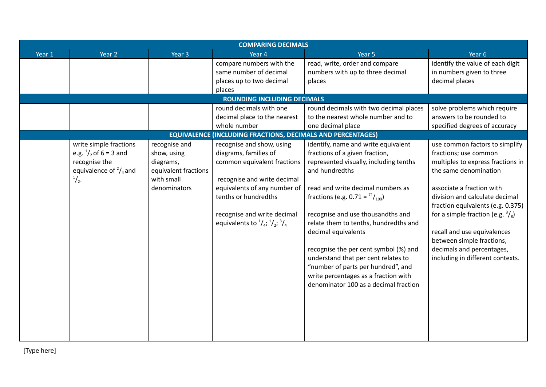|        |                                   |                      | <b>COMPARING DECIMALS</b>                                                             |                                                                            |                                             |
|--------|-----------------------------------|----------------------|---------------------------------------------------------------------------------------|----------------------------------------------------------------------------|---------------------------------------------|
| Year 1 | Year 2                            | Year <sub>3</sub>    | Year 4                                                                                | Year 5                                                                     | Year 6                                      |
|        |                                   |                      | compare numbers with the                                                              | read, write, order and compare                                             | identify the value of each digit            |
|        |                                   |                      | same number of decimal                                                                | numbers with up to three decimal                                           | in numbers given to three                   |
|        |                                   |                      | places up to two decimal                                                              | places                                                                     | decimal places                              |
|        |                                   |                      | places                                                                                |                                                                            |                                             |
|        |                                   |                      | <b>ROUNDING INCLUDING DECIMALS</b>                                                    |                                                                            |                                             |
|        |                                   |                      | round decimals with one                                                               | round decimals with two decimal places                                     | solve problems which require                |
|        |                                   |                      | decimal place to the nearest                                                          | to the nearest whole number and to                                         | answers to be rounded to                    |
|        |                                   |                      | whole number                                                                          | one decimal place                                                          | specified degrees of accuracy               |
|        |                                   |                      | <b>EQUIVALENCE (INCLUDING FRACTIONS, DECIMALS AND PERCENTAGES)</b>                    |                                                                            |                                             |
|        | write simple fractions            | recognise and        | recognise and show, using                                                             | identify, name and write equivalent                                        | use common factors to simplify              |
|        | e.g. $\frac{1}{2}$ , of 6 = 3 and | show, using          | diagrams, families of                                                                 | fractions of a given fraction,                                             | fractions; use common                       |
|        | recognise the                     | diagrams,            | common equivalent fractions                                                           | represented visually, including tenths                                     | multiples to express fractions in           |
|        | equivalence of $\frac{2}{4}$ and  | equivalent fractions |                                                                                       | and hundredths                                                             | the same denomination                       |
|        | $\frac{1}{2}$ .                   | with small           | recognise and write decimal                                                           |                                                                            |                                             |
|        |                                   | denominators         | equivalents of any number of                                                          | read and write decimal numbers as                                          | associate a fraction with                   |
|        |                                   |                      | tenths or hundredths                                                                  | fractions (e.g. $0.71 = \frac{71}{100}$ )                                  | division and calculate decimal              |
|        |                                   |                      |                                                                                       |                                                                            | fraction equivalents (e.g. 0.375)           |
|        |                                   |                      | recognise and write decimal<br>equivalents to $^{1}/_{4}$ ; $^{1}/_{2}$ ; $^{3}/_{4}$ | recognise and use thousandths and<br>relate them to tenths, hundredths and | for a simple fraction (e.g. $\frac{3}{8}$ ) |
|        |                                   |                      |                                                                                       | decimal equivalents                                                        | recall and use equivalences                 |
|        |                                   |                      |                                                                                       |                                                                            | between simple fractions,                   |
|        |                                   |                      |                                                                                       | recognise the per cent symbol (%) and                                      | decimals and percentages,                   |
|        |                                   |                      |                                                                                       | understand that per cent relates to                                        | including in different contexts.            |
|        |                                   |                      |                                                                                       | "number of parts per hundred", and                                         |                                             |
|        |                                   |                      |                                                                                       | write percentages as a fraction with                                       |                                             |
|        |                                   |                      |                                                                                       | denominator 100 as a decimal fraction                                      |                                             |
|        |                                   |                      |                                                                                       |                                                                            |                                             |
|        |                                   |                      |                                                                                       |                                                                            |                                             |
|        |                                   |                      |                                                                                       |                                                                            |                                             |
|        |                                   |                      |                                                                                       |                                                                            |                                             |
|        |                                   |                      |                                                                                       |                                                                            |                                             |
|        |                                   |                      |                                                                                       |                                                                            |                                             |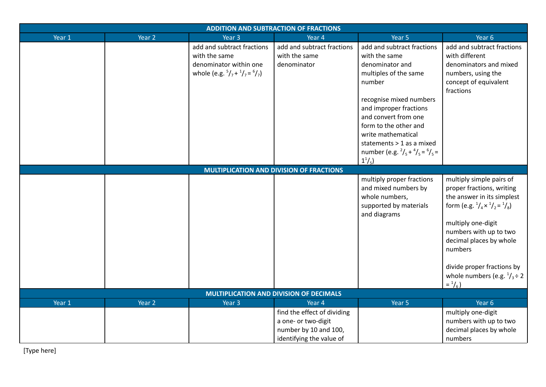| <b>ADDITION AND SUBTRACTION OF FRACTIONS</b>   |        |                                                                                                                                  |                                                                                                         |                                                                                                                                                                                                                                                                                                                                        |                                                                                                                                                                                                                                                                                                                                                         |  |
|------------------------------------------------|--------|----------------------------------------------------------------------------------------------------------------------------------|---------------------------------------------------------------------------------------------------------|----------------------------------------------------------------------------------------------------------------------------------------------------------------------------------------------------------------------------------------------------------------------------------------------------------------------------------------|---------------------------------------------------------------------------------------------------------------------------------------------------------------------------------------------------------------------------------------------------------------------------------------------------------------------------------------------------------|--|
| Year 1                                         | Year 2 | Year 3                                                                                                                           | Year 4                                                                                                  | Year 5                                                                                                                                                                                                                                                                                                                                 | Year 6                                                                                                                                                                                                                                                                                                                                                  |  |
|                                                |        | add and subtract fractions<br>with the same<br>denominator within one<br>whole (e.g. $\frac{5}{7} + \frac{1}{7} = \frac{6}{7}$ ) | add and subtract fractions<br>with the same<br>denominator                                              | add and subtract fractions<br>with the same<br>denominator and<br>multiples of the same<br>number<br>recognise mixed numbers<br>and improper fractions<br>and convert from one<br>form to the other and<br>write mathematical<br>statements > 1 as a mixed<br>number (e.g. $^{2}/_{5}$ + $^{4}/_{5}$ = $^{6}/_{5}$ =<br>$1^{1}/_{5}$ ) | add and subtract fractions<br>with different<br>denominators and mixed<br>numbers, using the<br>concept of equivalent<br>fractions                                                                                                                                                                                                                      |  |
|                                                |        |                                                                                                                                  | <b>MULTIPLICATION AND DIVISION OF FRACTIONS</b>                                                         |                                                                                                                                                                                                                                                                                                                                        |                                                                                                                                                                                                                                                                                                                                                         |  |
|                                                |        |                                                                                                                                  |                                                                                                         | multiply proper fractions<br>and mixed numbers by<br>whole numbers,<br>supported by materials<br>and diagrams                                                                                                                                                                                                                          | multiply simple pairs of<br>proper fractions, writing<br>the answer in its simplest<br>form (e.g. $\frac{1}{4} \times \frac{1}{2} = \frac{1}{8}$ )<br>multiply one-digit<br>numbers with up to two<br>decimal places by whole<br>numbers<br>divide proper fractions by<br>whole numbers (e.g. $\frac{1}{3} \div 2$<br>$=$ <sup>1</sup> / <sub>6</sub> ) |  |
| <b>MULTIPLICATION AND DIVISION OF DECIMALS</b> |        |                                                                                                                                  |                                                                                                         |                                                                                                                                                                                                                                                                                                                                        |                                                                                                                                                                                                                                                                                                                                                         |  |
| Year 1                                         | Year 2 | Year <sub>3</sub>                                                                                                                | Year 4                                                                                                  | Year 5                                                                                                                                                                                                                                                                                                                                 | Year 6                                                                                                                                                                                                                                                                                                                                                  |  |
|                                                |        |                                                                                                                                  | find the effect of dividing<br>a one- or two-digit<br>number by 10 and 100,<br>identifying the value of |                                                                                                                                                                                                                                                                                                                                        | multiply one-digit<br>numbers with up to two<br>decimal places by whole<br>numbers                                                                                                                                                                                                                                                                      |  |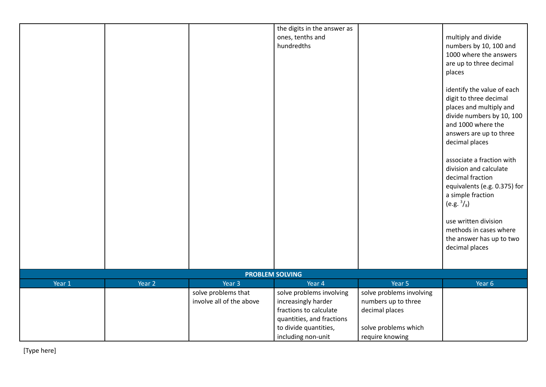|                        |        |                          | the digits in the answer as |                          |                                           |  |
|------------------------|--------|--------------------------|-----------------------------|--------------------------|-------------------------------------------|--|
|                        |        |                          | ones, tenths and            |                          | multiply and divide                       |  |
|                        |        |                          | hundredths                  |                          | numbers by 10, 100 and                    |  |
|                        |        |                          |                             |                          | 1000 where the answers                    |  |
|                        |        |                          |                             |                          | are up to three decimal                   |  |
|                        |        |                          |                             |                          | places                                    |  |
|                        |        |                          |                             |                          | identify the value of each                |  |
|                        |        |                          |                             |                          | digit to three decimal                    |  |
|                        |        |                          |                             |                          | places and multiply and                   |  |
|                        |        |                          |                             |                          | divide numbers by 10, 100                 |  |
|                        |        |                          |                             |                          | and 1000 where the                        |  |
|                        |        |                          |                             |                          | answers are up to three<br>decimal places |  |
|                        |        |                          |                             |                          |                                           |  |
|                        |        |                          |                             |                          | associate a fraction with                 |  |
|                        |        |                          |                             |                          | division and calculate                    |  |
|                        |        |                          |                             |                          | decimal fraction                          |  |
|                        |        |                          |                             |                          | equivalents (e.g. 0.375) for              |  |
|                        |        |                          |                             |                          | a simple fraction                         |  |
|                        |        |                          |                             |                          | (e.g. $\frac{3}{8}$ )                     |  |
|                        |        |                          |                             |                          |                                           |  |
|                        |        |                          |                             |                          | use written division                      |  |
|                        |        |                          |                             |                          | methods in cases where                    |  |
|                        |        |                          |                             |                          | the answer has up to two                  |  |
|                        |        |                          |                             |                          | decimal places                            |  |
|                        |        |                          |                             |                          |                                           |  |
| <b>PROBLEM SOLVING</b> |        |                          |                             |                          |                                           |  |
| Year 1                 | Year 2 | Year 3                   | Year 4                      | Year 5                   | Year 6                                    |  |
|                        |        | solve problems that      | solve problems involving    | solve problems involving |                                           |  |
|                        |        | involve all of the above | increasingly harder         | numbers up to three      |                                           |  |
|                        |        |                          | fractions to calculate      | decimal places           |                                           |  |
|                        |        |                          | quantities, and fractions   |                          |                                           |  |
|                        |        |                          | to divide quantities,       | solve problems which     |                                           |  |
|                        |        |                          | including non-unit          | require knowing          |                                           |  |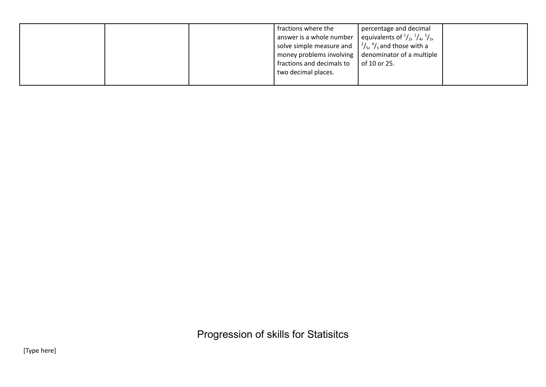|  | fractions where the                                                     | percentage and decimal                                         |  |
|--|-------------------------------------------------------------------------|----------------------------------------------------------------|--|
|  | $\frac{1}{2}$ answer is a whole number $\frac{1}{2}$                    | equivalents of $\frac{1}{2}$ , $\frac{1}{4}$ , $\frac{1}{5}$ , |  |
|  | solve simple measure and $\frac{2}{5}$ , $\frac{4}{5}$ and those with a |                                                                |  |
|  | $\mid$ money problems involving $\mid$ denominator of a multiple        |                                                                |  |
|  | fractions and decimals to                                               | of 10 or 25.                                                   |  |
|  | two decimal places.                                                     |                                                                |  |
|  |                                                                         |                                                                |  |

Progression of skills for Statisitcs